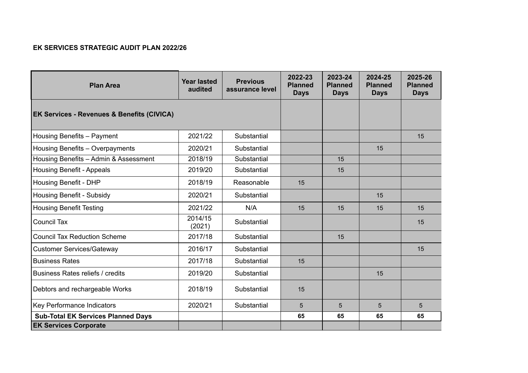## **EK SERVICES STRATEGIC AUDIT PLAN 2022/26**

| <b>Plan Area</b>                                      | <b>Year lasted</b><br>audited | <b>Previous</b><br>assurance level | 2022-23<br><b>Planned</b><br><b>Days</b> | 2023-24<br><b>Planned</b><br><b>Days</b> | 2024-25<br><b>Planned</b><br><b>Days</b> | 2025-26<br><b>Planned</b><br><b>Days</b> |
|-------------------------------------------------------|-------------------------------|------------------------------------|------------------------------------------|------------------------------------------|------------------------------------------|------------------------------------------|
| <b>EK Services - Revenues &amp; Benefits (CIVICA)</b> |                               |                                    |                                          |                                          |                                          |                                          |
| Housing Benefits - Payment                            | 2021/22                       | Substantial                        |                                          |                                          |                                          | 15                                       |
| Housing Benefits - Overpayments                       | 2020/21                       | Substantial                        |                                          |                                          | 15                                       |                                          |
| Housing Benefits - Admin & Assessment                 | 2018/19                       | Substantial                        |                                          | 15                                       |                                          |                                          |
| <b>Housing Benefit - Appeals</b>                      | 2019/20                       | Substantial                        |                                          | 15                                       |                                          |                                          |
| Housing Benefit - DHP                                 | 2018/19                       | Reasonable                         | 15                                       |                                          |                                          |                                          |
| <b>Housing Benefit - Subsidy</b>                      | 2020/21                       | Substantial                        |                                          |                                          | 15                                       |                                          |
| <b>Housing Benefit Testing</b>                        | 2021/22                       | N/A                                | 15                                       | 15                                       | 15                                       | 15                                       |
| <b>Council Tax</b>                                    | 2014/15<br>(2021)             | Substantial                        |                                          |                                          |                                          | 15                                       |
| <b>Council Tax Reduction Scheme</b>                   | 2017/18                       | Substantial                        |                                          | 15                                       |                                          |                                          |
| <b>Customer Services/Gateway</b>                      | 2016/17                       | Substantial                        |                                          |                                          |                                          | 15                                       |
| <b>Business Rates</b>                                 | 2017/18                       | Substantial                        | 15                                       |                                          |                                          |                                          |
| <b>Business Rates reliefs / credits</b>               | 2019/20                       | Substantial                        |                                          |                                          | 15                                       |                                          |
| Debtors and rechargeable Works                        | 2018/19                       | Substantial                        | 15                                       |                                          |                                          |                                          |
| Key Performance Indicators                            | 2020/21                       | Substantial                        | 5                                        | 5                                        | 5                                        | 5                                        |
| <b>Sub-Total EK Services Planned Days</b>             |                               |                                    | 65                                       | 65                                       | 65                                       | 65                                       |
| <b>EK Services Corporate</b>                          |                               |                                    |                                          |                                          |                                          |                                          |